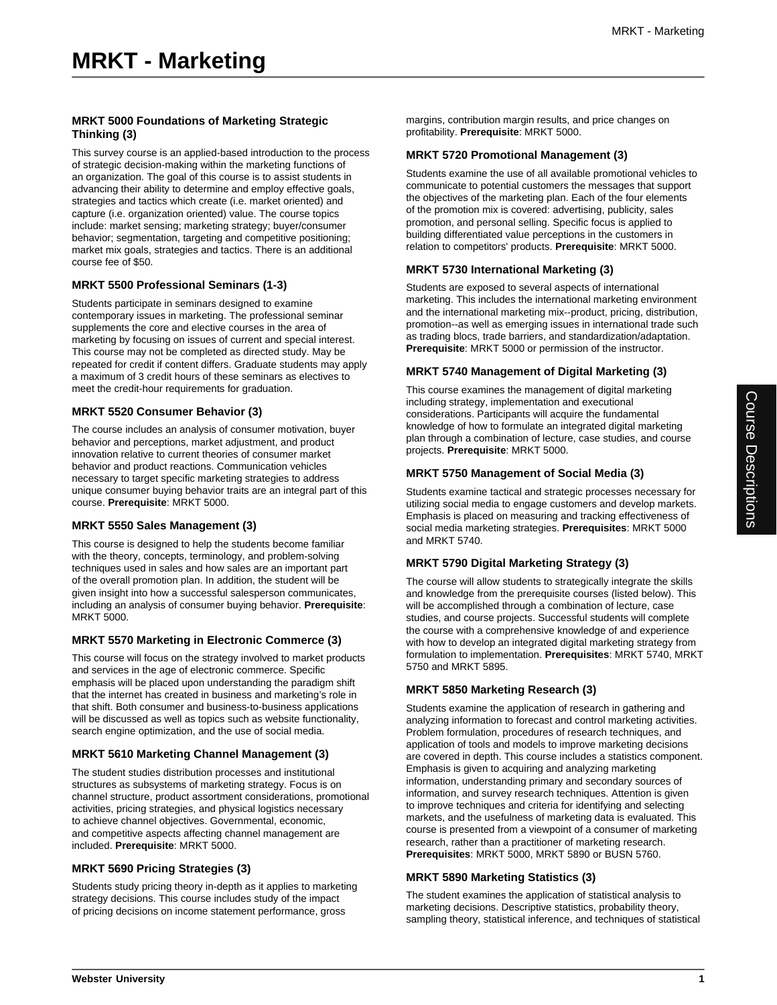# **MRKT 5000 Foundations of Marketing Strategic Thinking (3)**

This survey course is an applied-based introduction to the process of strategic decision-making within the marketing functions of an organization. The goal of this course is to assist students in advancing their ability to determine and employ effective goals, strategies and tactics which create (i.e. market oriented) and capture (i.e. organization oriented) value. The course topics include: market sensing; marketing strategy; buyer/consumer behavior; segmentation, targeting and competitive positioning; market mix goals, strategies and tactics. There is an additional course fee of \$50.

#### **MRKT 5500 Professional Seminars (1-3)**

Students participate in seminars designed to examine contemporary issues in marketing. The professional seminar supplements the core and elective courses in the area of marketing by focusing on issues of current and special interest. This course may not be completed as directed study. May be repeated for credit if content differs. Graduate students may apply a maximum of 3 credit hours of these seminars as electives to meet the credit-hour requirements for graduation.

## **MRKT 5520 Consumer Behavior (3)**

The course includes an analysis of consumer motivation, buyer behavior and perceptions, market adjustment, and product innovation relative to current theories of consumer market behavior and product reactions. Communication vehicles necessary to target specific marketing strategies to address unique consumer buying behavior traits are an integral part of this course. **Prerequisite**: MRKT 5000.

#### **MRKT 5550 Sales Management (3)**

This course is designed to help the students become familiar with the theory, concepts, terminology, and problem-solving techniques used in sales and how sales are an important part of the overall promotion plan. In addition, the student will be given insight into how a successful salesperson communicates, including an analysis of consumer buying behavior. **Prerequisite**: MRKT 5000.

#### **MRKT 5570 Marketing in Electronic Commerce (3)**

This course will focus on the strategy involved to market products and services in the age of electronic commerce. Specific emphasis will be placed upon understanding the paradigm shift that the internet has created in business and marketing's role in that shift. Both consumer and business-to-business applications will be discussed as well as topics such as website functionality, search engine optimization, and the use of social media.

# **MRKT 5610 Marketing Channel Management (3)**

The student studies distribution processes and institutional structures as subsystems of marketing strategy. Focus is on channel structure, product assortment considerations, promotional activities, pricing strategies, and physical logistics necessary to achieve channel objectives. Governmental, economic, and competitive aspects affecting channel management are included. **Prerequisite**: MRKT 5000.

#### **MRKT 5690 Pricing Strategies (3)**

Students study pricing theory in-depth as it applies to marketing strategy decisions. This course includes study of the impact of pricing decisions on income statement performance, gross

margins, contribution margin results, and price changes on profitability. **Prerequisite**: MRKT 5000.

#### **MRKT 5720 Promotional Management (3)**

Students examine the use of all available promotional vehicles to communicate to potential customers the messages that support the objectives of the marketing plan. Each of the four elements of the promotion mix is covered: advertising, publicity, sales promotion, and personal selling. Specific focus is applied to building differentiated value perceptions in the customers in relation to competitors' products. **Prerequisite**: MRKT 5000.

## **MRKT 5730 International Marketing (3)**

Students are exposed to several aspects of international marketing. This includes the international marketing environment and the international marketing mix--product, pricing, distribution, promotion--as well as emerging issues in international trade such as trading blocs, trade barriers, and standardization/adaptation. **Prerequisite**: MRKT 5000 or permission of the instructor.

#### **MRKT 5740 Management of Digital Marketing (3)**

This course examines the management of digital marketing including strategy, implementation and executional considerations. Participants will acquire the fundamental knowledge of how to formulate an integrated digital marketing plan through a combination of lecture, case studies, and course projects. **Prerequisite**: MRKT 5000.

#### **MRKT 5750 Management of Social Media (3)**

Students examine tactical and strategic processes necessary for utilizing social media to engage customers and develop markets. Emphasis is placed on measuring and tracking effectiveness of social media marketing strategies. **Prerequisites**: MRKT 5000 and MRKT 5740.

# **MRKT 5790 Digital Marketing Strategy (3)**

The course will allow students to strategically integrate the skills and knowledge from the prerequisite courses (listed below). This will be accomplished through a combination of lecture, case studies, and course projects. Successful students will complete the course with a comprehensive knowledge of and experience with how to develop an integrated digital marketing strategy from formulation to implementation. **Prerequisites**: MRKT 5740, MRKT 5750 and MRKT 5895.

#### **MRKT 5850 Marketing Research (3)**

Students examine the application of research in gathering and analyzing information to forecast and control marketing activities. Problem formulation, procedures of research techniques, and application of tools and models to improve marketing decisions are covered in depth. This course includes a statistics component. Emphasis is given to acquiring and analyzing marketing information, understanding primary and secondary sources of information, and survey research techniques. Attention is given to improve techniques and criteria for identifying and selecting markets, and the usefulness of marketing data is evaluated. This course is presented from a viewpoint of a consumer of marketing research, rather than a practitioner of marketing research. **Prerequisites**: MRKT 5000, MRKT 5890 or BUSN 5760.

#### **MRKT 5890 Marketing Statistics (3)**

The student examines the application of statistical analysis to marketing decisions. Descriptive statistics, probability theory, sampling theory, statistical inference, and techniques of statistical